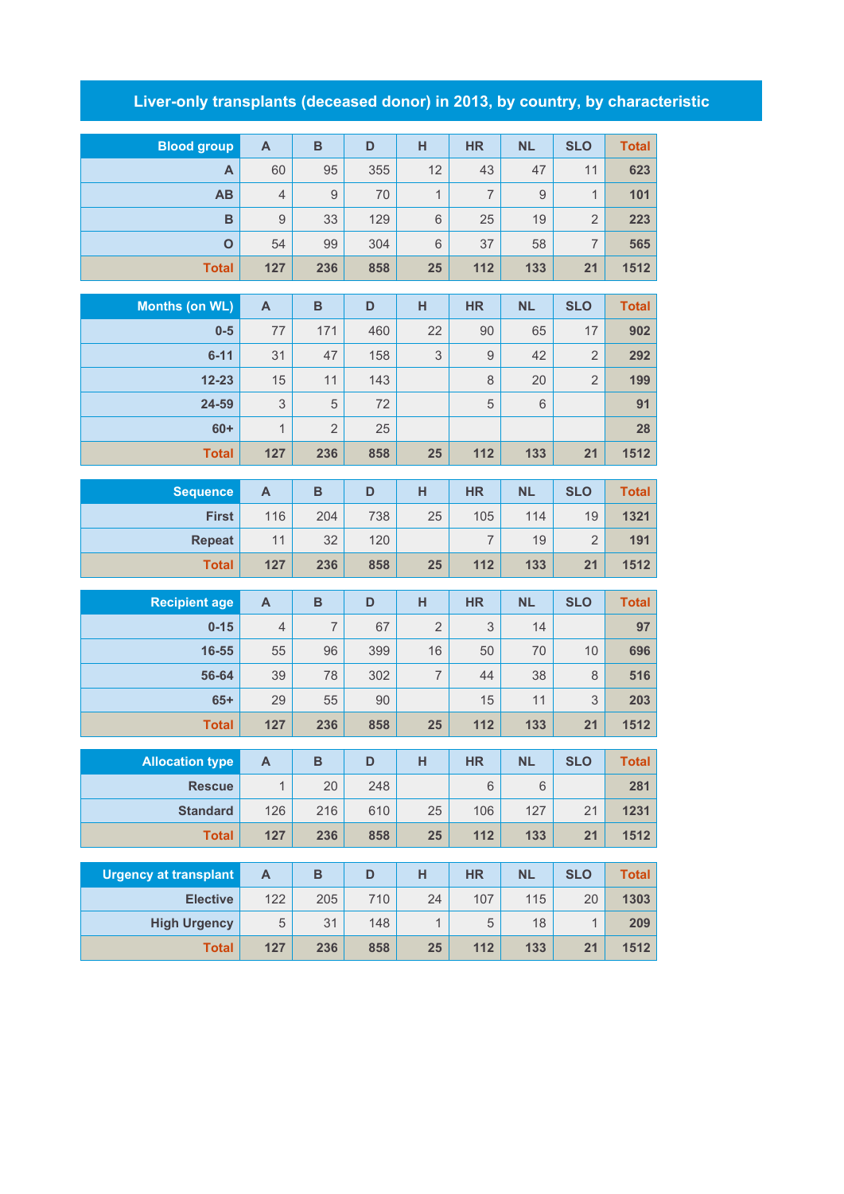## **Liver-only transplants (deceased donor) in 2013, by country, by characteristic**

| <b>Blood group</b>           | $\mathbf{A}$              | $\mathbf B$    | $\mathsf D$ | н              | <b>HR</b>      | <b>NL</b> | <b>SLO</b>           | <b>Total</b>        |
|------------------------------|---------------------------|----------------|-------------|----------------|----------------|-----------|----------------------|---------------------|
| A                            | 60                        | 95             | 355         | 12             | 43             | 47        | 11                   | 623                 |
| AB                           | $\overline{4}$            | 9              | 70          | $\mathbf{1}$   | $\overline{7}$ | 9         | $\mathbf{1}$         | 101                 |
| B                            | $\hbox{9}$                | 33             | 129         | 6              | 25             | 19        | $\overline{2}$       | 223                 |
| $\overline{O}$               | 54                        | 99             | 304         | 6              | 37             | 58        | $\overline{7}$       | 565                 |
| <b>Total</b>                 | 127                       | 236            | 858         | 25             | 112            | 133       | 21                   | 1512                |
|                              |                           | $\, {\bf B}$   |             |                | <b>HR</b>      |           | <b>SLO</b>           |                     |
| <b>Months (on WL)</b>        | $\mathsf{A}$              | 171            | D<br>460    | H<br>22        | 90             | <b>NL</b> |                      | <b>Total</b><br>902 |
| $0-5$<br>$6 - 11$            | 77<br>31                  |                |             | 3              | $\overline{9}$ | 65<br>42  | 17<br>$\overline{2}$ |                     |
| $12 - 23$                    | 15                        | 47<br>11       | 158<br>143  |                | 8              | 20        | $\overline{2}$       | 292<br>199          |
| 24-59                        | 3                         | 5              | 72          |                | 5              | 6         |                      | 91                  |
| $60+$                        | $\mathbf{1}$              | $\overline{2}$ | 25          |                |                |           |                      | 28                  |
| <b>Total</b>                 | 127                       | 236            | 858         | 25             | 112            | 133       | 21                   | 1512                |
|                              |                           |                |             |                |                |           |                      |                     |
| <b>Sequence</b>              | $\mathsf{A}$              | $\, {\bf B}$   | D           | H              | <b>HR</b>      | <b>NL</b> | <b>SLO</b>           | <b>Total</b>        |
| <b>First</b>                 | 116                       | 204            | 738         | 25             | 105            | 114       | 19                   | 1321                |
| <b>Repeat</b>                | 11                        | 32             | 120         |                | $\overline{7}$ | 19        | $\overline{2}$       | 191                 |
| <b>Total</b>                 | 127                       | 236            | 858         | 25             | 112            | 133       | 21                   | 1512                |
| <b>Recipient age</b>         | $\mathsf{A}$              | $\, {\bf B}$   | D           | H              | <b>HR</b>      | <b>NL</b> | <b>SLO</b>           | <b>Total</b>        |
| $0 - 15$                     | $\overline{4}$            | $\overline{7}$ | 67          | $\overline{2}$ | 3              | 14        |                      | 97                  |
| $16 - 55$                    | 55                        | 96             | 399         | 16             | 50             | 70        | 10                   | 696                 |
| 56-64                        | 39                        | 78             | 302         | $\overline{7}$ | 44             | 38        | 8                    | 516                 |
| $65+$                        | 29                        | 55             | 90          |                | 15             | 11        | 3                    | 203                 |
| <b>Total</b>                 | 127                       | 236            | 858         | 25             | 112            | 133       | 21                   | 1512                |
|                              |                           |                |             |                |                |           |                      |                     |
| <b>Allocation type</b>       | $\boldsymbol{\mathsf{A}}$ | B              | D           | H              | HR             | <b>NL</b> | <b>SLO</b>           | <b>Total</b>        |
| <b>Rescue</b>                | $\mathbf{1}$              | 20             | 248         |                | $6\phantom{1}$ | 6         |                      | 281                 |
| <b>Standard</b>              | 126                       | 216            | 610         | 25             | 106            | 127       | 21                   | 1231                |
| <b>Total</b>                 | 127                       | 236            | 858         | 25             | 112            | 133       | 21                   | 1512                |
| <b>Urgency at transplant</b> | $\mathsf{A}$              | B              | D           | H              | <b>HR</b>      | <b>NL</b> | <b>SLO</b>           | <b>Total</b>        |
| <b>Elective</b>              | 122                       | 205            | 710         | 24             | 107            | 115       | 20                   | 1303                |
| <b>High Urgency</b>          | $\mathbf 5$               | 31             | 148         | $\mathbf{1}$   | 5              | 18        | 1                    | 209                 |
| <b>Total</b>                 | 127                       | 236            | 858         | 25             | 112            | 133       | 21                   | 1512                |